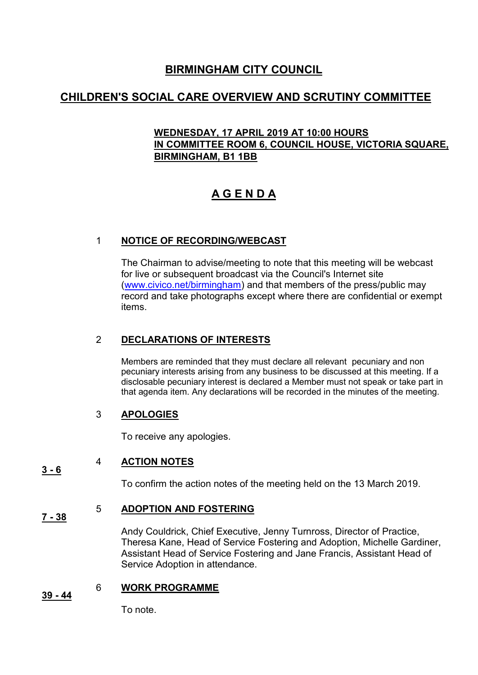## **BIRMINGHAM CITY COUNCIL**

# **CHILDREN'S SOCIAL CARE OVERVIEW AND SCRUTINY COMMITTEE**

### **WEDNESDAY, 17 APRIL 2019 AT 10:00 HOURS IN COMMITTEE ROOM 6, COUNCIL HOUSE, VICTORIA SQUARE, BIRMINGHAM, B1 1BB**

# **A G E N D A**

### 1 **NOTICE OF RECORDING/WEBCAST**

The Chairman to advise/meeting to note that this meeting will be webcast for live or subsequent broadcast via the Council's Internet site [\(www.civico.net/birmingham\)](http://www.civico.net/birmingham) and that members of the press/public may record and take photographs except where there are confidential or exempt items.

### 2 **DECLARATIONS OF INTERESTS**

Members are reminded that they must declare all relevant pecuniary and non pecuniary interests arising from any business to be discussed at this meeting. If a disclosable pecuniary interest is declared a Member must not speak or take part in that agenda item. Any declarations will be recorded in the minutes of the meeting.

### 3 **APOLOGIES**

To receive any apologies.

#### **3 - 6**  4 **ACTION NOTES**

To confirm the action notes of the meeting held on the 13 March 2019.

#### **7 - 38** 5 **ADOPTION AND FOSTERING**

Andy Couldrick, Chief Executive, Jenny Turnross, Director of Practice, Theresa Kane, Head of Service Fostering and Adoption, Michelle Gardiner, Assistant Head of Service Fostering and Jane Francis, Assistant Head of Service Adoption in attendance.

#### **39 - 44** 6 **WORK PROGRAMME**

To note.